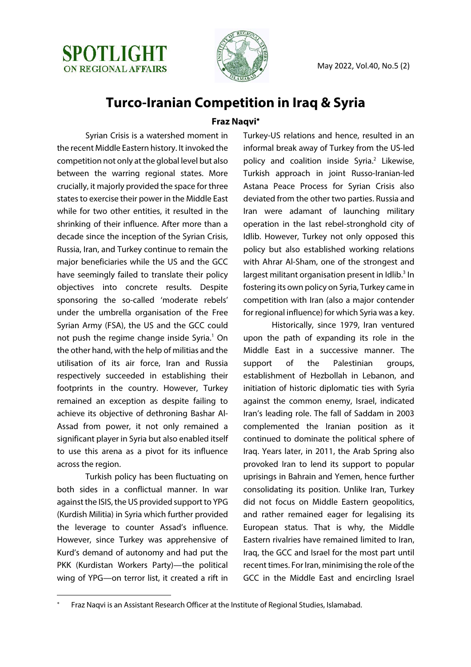



## **Turco-Iranian Competition in Iraq & Syria**

## **Fraz Naqvi**\*

Syrian Crisis is a watershed moment in the recent Middle Eastern history. It invoked the competition not only at the global level but also between the warring regional states. More crucially, it majorly provided the space for three states to exercise their power in the Middle East while for two other entities, it resulted in the shrinking of their influence. After more than a decade since the inception of the Syrian Crisis, Russia, Iran, and Turkey continue to remain the major beneficiaries while the US and the GCC have seemingly failed to translate their policy objectives into concrete results. Despite sponsoring the so-called 'moderate rebels' under the umbrella organisation of the Free Syrian Army (FSA), the US and the GCC could not push the regime change inside Syria.<sup>1</sup> On the other hand, with the help of militias and the utilisation of its air force, Iran and Russia respectively succeeded in establishing their footprints in the country. However, Turkey remained an exception as despite failing to achieve its objective of dethroning Bashar Al-Assad from power, it not only remained a significant player in Syria but also enabled itself to use this arena as a pivot for its influence across the region.

Turkish policy has been fluctuating on both sides in a conflictual manner. In war against the ISIS, the US provided support to YPG (Kurdish Militia) in Syria which further provided the leverage to counter Assad's influence. However, since Turkey was apprehensive of Kurd's demand of autonomy and had put the PKK (Kurdistan Workers Party)—the political wing of YPG—on terror list, it created a rift in

Turkey-US relations and hence, resulted in an informal break away of Turkey from the US-led policy and coalition inside Syria.<sup>2</sup> Likewise, Turkish approach in joint Russo-Iranian-led Astana Peace Process for Syrian Crisis also deviated from the other two parties. Russia and Iran were adamant of launching military operation in the last rebel-stronghold city of Idlib. However, Turkey not only opposed this policy but also established working relations with Ahrar Al-Sham, one of the strongest and largest militant organisation present in Idlib.<sup>3</sup> In fostering its own policy on Syria, Turkey came in competition with Iran (also a major contender for regional influence) for which Syria was a key.

Historically, since 1979, Iran ventured upon the path of expanding its role in the Middle East in a successive manner. The support of the Palestinian groups, establishment of Hezbollah in Lebanon, and initiation of historic diplomatic ties with Syria against the common enemy, Israel, indicated Iran's leading role. The fall of Saddam in 2003 complemented the Iranian position as it continued to dominate the political sphere of Iraq. Years later, in 2011, the Arab Spring also provoked Iran to lend its support to popular uprisings in Bahrain and Yemen, hence further consolidating its position. Unlike Iran, Turkey did not focus on Middle Eastern geopolitics, and rather remained eager for legalising its European status. That is why, the Middle Eastern rivalries have remained limited to Iran, Iraq, the GCC and Israel for the most part until recent times. For Iran, minimising the role of the GCC in the Middle East and encircling Israel

Fraz Naqvi is an Assistant Research Officer at the Institute of Regional Studies, Islamabad.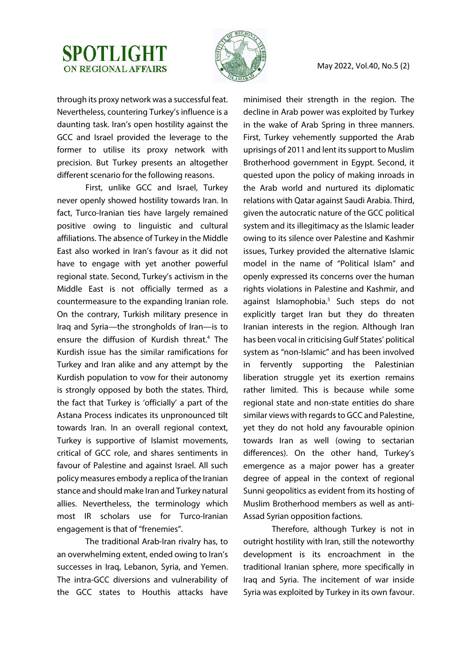## **SPOTLIGHT ON REGIONAL AFFAIRS**



through its proxy network was a successful feat. Nevertheless, countering Turkey's influence is a daunting task. Iran's open hostility against the GCC and Israel provided the leverage to the former to utilise its proxy network with precision. But Turkey presents an altogether different scenario for the following reasons.

First, unlike GCC and Israel, Turkey never openly showed hostility towards Iran. In fact, Turco-Iranian ties have largely remained positive owing to linguistic and cultural affiliations. The absence of Turkey in the Middle East also worked in Iran's favour as it did not have to engage with yet another powerful regional state. Second, Turkey's activism in the Middle East is not officially termed as a countermeasure to the expanding Iranian role. On the contrary, Turkish military presence in Iraq and Syria—the strongholds of Iran—is to ensure the diffusion of Kurdish threat.<sup>4</sup> The Kurdish issue has the similar ramifications for Turkey and Iran alike and any attempt by the Kurdish population to vow for their autonomy is strongly opposed by both the states. Third, the fact that Turkey is 'officially' a part of the Astana Process indicates its unpronounced tilt towards Iran. In an overall regional context, Turkey is supportive of Islamist movements, critical of GCC role, and shares sentiments in favour of Palestine and against Israel. All such policy measures embody a replica of the Iranian stance and should make Iran and Turkey natural allies. Nevertheless, the terminology which most IR scholars use for Turco-Iranian engagement is that of "frenemies".

The traditional Arab-Iran rivalry has, to an overwhelming extent, ended owing to Iran's successes in Iraq, Lebanon, Syria, and Yemen. The intra-GCC diversions and vulnerability of the GCC states to Houthis attacks have

minimised their strength in the region. The decline in Arab power was exploited by Turkey in the wake of Arab Spring in three manners. First, Turkey vehemently supported the Arab uprisings of 2011 and lent its support to Muslim Brotherhood government in Egypt. Second, it quested upon the policy of making inroads in the Arab world and nurtured its diplomatic relations with Qatar against Saudi Arabia. Third, given the autocratic nature of the GCC political system and its illegitimacy as the Islamic leader owing to its silence over Palestine and Kashmir issues, Turkey provided the alternative Islamic model in the name of "Political Islam" and openly expressed its concerns over the human rights violations in Palestine and Kashmir, and against Islamophobia.<sup>5</sup> Such steps do not explicitly target Iran but they do threaten Iranian interests in the region. Although Iran has been vocal in criticising Gulf States' political system as "non-Islamic" and has been involved in fervently supporting the Palestinian liberation struggle yet its exertion remains rather limited. This is because while some regional state and non-state entities do share similar views with regards to GCC and Palestine, yet they do not hold any favourable opinion towards Iran as well (owing to sectarian differences). On the other hand, Turkey's emergence as a major power has a greater degree of appeal in the context of regional Sunni geopolitics as evident from its hosting of Muslim Brotherhood members as well as anti-Assad Syrian opposition factions.

Therefore, although Turkey is not in outright hostility with Iran, still the noteworthy development is its encroachment in the traditional Iranian sphere, more specifically in Iraq and Syria. The incitement of war inside Syria was exploited by Turkey in its own favour.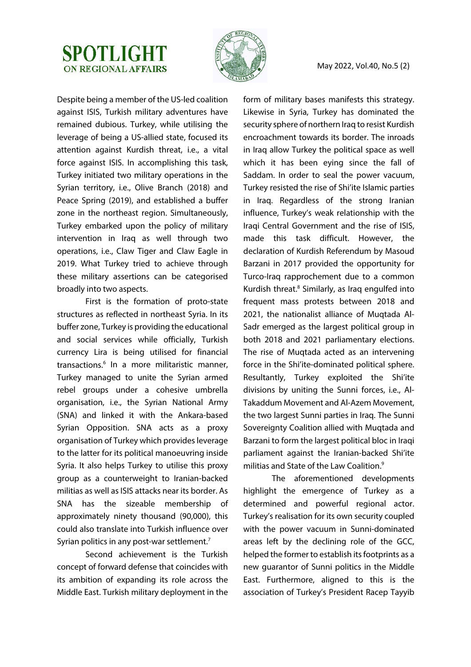



Despite being a member of the US-led coalition against ISIS, Turkish military adventures have remained dubious. Turkey, while utilising the leverage of being a US-allied state, focused its attention against Kurdish threat, i.e., a vital force against ISIS. In accomplishing this task, Turkey initiated two military operations in the Syrian territory, i.e., Olive Branch (2018) and Peace Spring (2019), and established a buffer zone in the northeast region. Simultaneously, Turkey embarked upon the policy of military intervention in Iraq as well through two operations, i.e., Claw Tiger and Claw Eagle in 2019. What Turkey tried to achieve through these military assertions can be categorised broadly into two aspects.

First is the formation of proto-state structures as reflected in northeast Syria. In its buffer zone, Turkey is providing the educational and social services while officially, Turkish currency Lira is being utilised for financial transactions.<sup>6</sup> In a more militaristic manner, Turkey managed to unite the Syrian armed rebel groups under a cohesive umbrella organisation, i.e., the Syrian National Army (SNA) and linked it with the Ankara-based Syrian Opposition. SNA acts as a proxy organisation of Turkey which provides leverage to the latter for its political manoeuvring inside Syria. It also helps Turkey to utilise this proxy group as a counterweight to Iranian-backed militias as well as ISIS attacks near its border. As SNA has the sizeable membership of approximately ninety thousand (90,000), this could also translate into Turkish influence over Syrian politics in any post-war settlement.<sup>7</sup>

Second achievement is the Turkish concept of forward defense that coincides with its ambition of expanding its role across the Middle East. Turkish military deployment in the form of military bases manifests this strategy. Likewise in Syria, Turkey has dominated the security sphere of northern Iraq to resist Kurdish encroachment towards its border. The inroads in Iraq allow Turkey the political space as well which it has been eying since the fall of Saddam. In order to seal the power vacuum, Turkey resisted the rise of Shi'ite Islamic parties in Iraq. Regardless of the strong Iranian influence, Turkey's weak relationship with the Iraqi Central Government and the rise of ISIS, made this task difficult. However, the declaration of Kurdish Referendum by Masoud Barzani in 2017 provided the opportunity for Turco-Iraq rapprochement due to a common Kurdish threat.<sup>8</sup> Similarly, as Iraq engulfed into frequent mass protests between 2018 and 2021, the nationalist alliance of Muqtada Al-Sadr emerged as the largest political group in both 2018 and 2021 parliamentary elections. The rise of Muqtada acted as an intervening force in the Shi'ite-dominated political sphere. Resultantly, Turkey exploited the Shi'ite divisions by uniting the Sunni forces, i.e., Al-Takaddum Movement and Al-Azem Movement, the two largest Sunni parties in Iraq. The Sunni Sovereignty Coalition allied with Muqtada and Barzani to form the largest political bloc in Iraqi parliament against the Iranian-backed Shi'ite militias and State of the Law Coalition.<sup>9</sup>

The aforementioned developments highlight the emergence of Turkey as a determined and powerful regional actor. Turkey's realisation for its own security coupled with the power vacuum in Sunni-dominated areas left by the declining role of the GCC, helped the former to establish its footprints as a new guarantor of Sunni politics in the Middle East. Furthermore, aligned to this is the association of Turkey's President Racep Tayyib